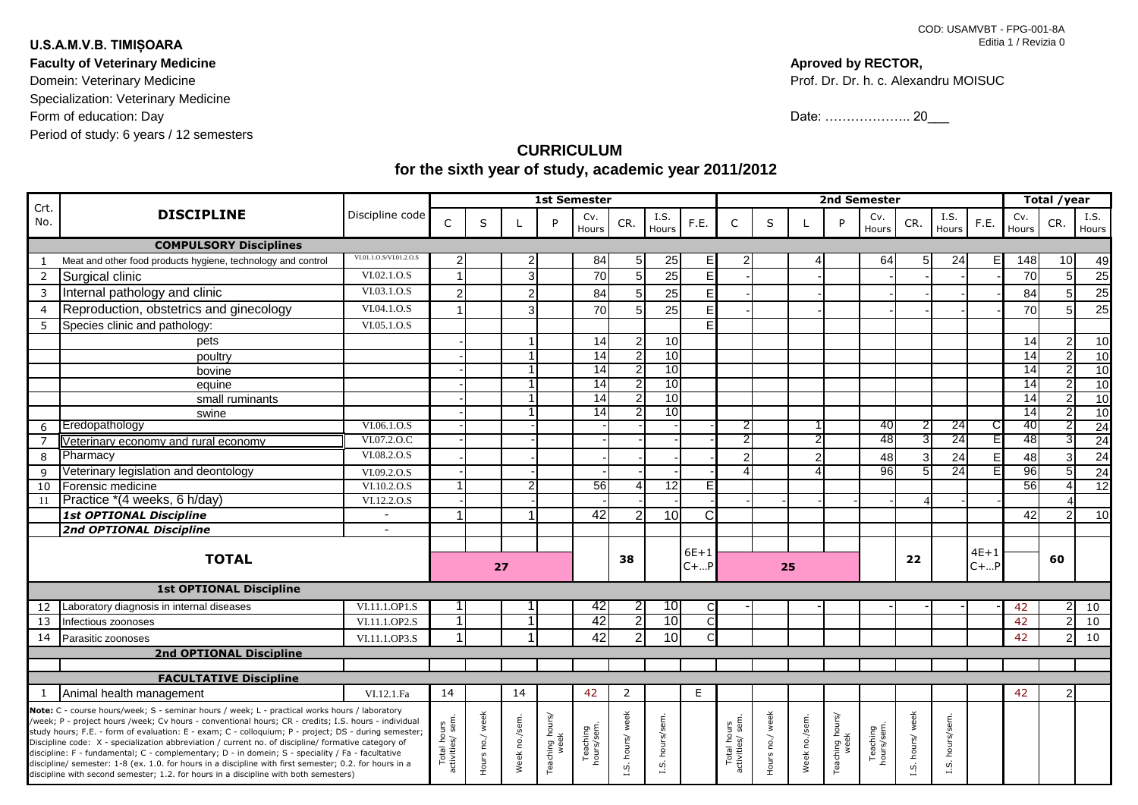## **U.S.A.M.V.B. TIMIȘOARA**

Period of study: 6 years / 12 semesters **Faculty of Veterinary Medicine** Domein: Veterinary Medicine Specialization: Veterinary Medicine Form of education: Day

## **Aproved by RECTOR,**

Prof. Dr. Dr. h. c. Alexandru MOISUC

Date: ………………… 20\_\_\_

## **CURRICULUM for the sixth year of study, academic year 2011/2012**

| Crt.                                                                                                                                                                                                    |                                                              |                                 | <b>1st Semester</b> |              |    |                         |                 |                |                 |                                |                 |              |                | 2nd Semester            |                |                 |                 | Total /year |                 |                |       |
|---------------------------------------------------------------------------------------------------------------------------------------------------------------------------------------------------------|--------------------------------------------------------------|---------------------------------|---------------------|--------------|----|-------------------------|-----------------|----------------|-----------------|--------------------------------|-----------------|--------------|----------------|-------------------------|----------------|-----------------|-----------------|-------------|-----------------|----------------|-------|
| No.                                                                                                                                                                                                     | <b>DISCIPLINE</b>                                            | Discipline code                 | C                   | S            |    | P                       | Cv.             | CR.            | I.S.            | F.E.                           | C               | S            |                | P                       | Cv.            | CR.             | I.S.            | F.E.        | Cv.             | CR.            | I.S.  |
|                                                                                                                                                                                                         |                                                              |                                 |                     |              |    |                         | Hours           |                | Hours           |                                |                 |              |                |                         | Hours          |                 | Hours           |             | Hours           |                | Hours |
|                                                                                                                                                                                                         | <b>COMPULSORY Disciplines</b>                                |                                 |                     |              |    |                         |                 |                |                 |                                |                 |              |                |                         |                |                 |                 |             |                 |                |       |
| $\mathbf{1}$                                                                                                                                                                                            | Meat and other food products hygiene, technology and control | VI.01.1.O.S/VI.01.2.O.S         | 2                   |              |    |                         | 84              | 5              | 25              | E                              | 2               |              |                |                         | 64             | 5               | $\overline{24}$ | FI          | 148             | 10             | 49    |
| 2                                                                                                                                                                                                       | Surgical clinic                                              | VI.02.1.O.S                     |                     |              | З  |                         | 70              | 5              | 25              | E                              |                 |              |                |                         |                |                 |                 |             | 70              | 5 <sup>1</sup> | 25    |
| 3                                                                                                                                                                                                       | Internal pathology and clinic                                | VI.03.1.O.S                     | $\overline{2}$      |              |    |                         | 84              | 5              | 25              | E                              |                 |              |                |                         |                |                 |                 |             | 84              |                | 25    |
| $\overline{4}$                                                                                                                                                                                          | Reproduction, obstetrics and ginecology                      | VI.04.1.O.S                     |                     |              |    |                         | 70              | 5              | 25              | E                              |                 |              |                |                         |                |                 |                 |             | 70              |                | 25    |
| 5                                                                                                                                                                                                       | Species clinic and pathology:                                | VI.05.1.O.S                     |                     |              |    |                         |                 |                |                 | F                              |                 |              |                |                         |                |                 |                 |             |                 |                |       |
|                                                                                                                                                                                                         | pets                                                         |                                 |                     |              |    |                         | 14              | $\overline{2}$ | 10              |                                |                 |              |                |                         |                |                 |                 |             | 14              | $\overline{2}$ | 10    |
|                                                                                                                                                                                                         | poultry                                                      |                                 |                     |              |    |                         | 14              | $\overline{2}$ | 10              |                                |                 |              |                |                         |                |                 |                 |             | $\overline{14}$ | 21             | 10    |
|                                                                                                                                                                                                         | bovine                                                       |                                 |                     |              |    |                         | 14              | $\overline{2}$ | 10              |                                |                 |              |                |                         |                |                 |                 |             | 14              | 2              | 10    |
|                                                                                                                                                                                                         | equine                                                       |                                 |                     |              |    |                         | $\overline{14}$ | $\overline{2}$ | 10              |                                |                 |              |                |                         |                |                 |                 |             | $\overline{14}$ | 21             | 10    |
|                                                                                                                                                                                                         | small ruminants                                              |                                 |                     |              |    |                         | 14              | $\overline{2}$ | 10              |                                |                 |              |                |                         |                |                 |                 |             | $\overline{14}$ |                | 10    |
|                                                                                                                                                                                                         | swine                                                        |                                 |                     |              |    |                         | $\overline{14}$ | 2              | $\overline{10}$ |                                |                 |              |                |                         |                |                 |                 |             | 14              | 21             | 10    |
| 6                                                                                                                                                                                                       | Eredopathology                                               | VI.06.1.O.S                     |                     |              |    |                         |                 |                |                 |                                |                 |              |                |                         | 40             |                 | 24              |             | 40              | 21             | 24    |
| $\overline{7}$                                                                                                                                                                                          | Veterinary economy and rural economy                         | VI.07.2.O.C                     |                     |              |    |                         |                 |                |                 |                                | 2               |              |                |                         | 48             |                 | 24              | F           | 48              |                | 24    |
| 8                                                                                                                                                                                                       | Pharmacy                                                     | VI.08.2.O.S                     |                     |              |    |                         |                 |                |                 |                                | $\mathcal{P}$   |              | $\overline{2}$ |                         | 48             |                 | 24              | E.          | 48              |                | 24    |
| 9                                                                                                                                                                                                       | Veterinary legislation and deontology                        | VI.09.2.O.S                     |                     |              |    |                         |                 |                |                 |                                | Δ               |              |                |                         | 96             | 5               | $\overline{24}$ | FI          | 96              | 51             | 24    |
| 10                                                                                                                                                                                                      | Forensic medicine                                            | VI.10.2.O.S                     |                     |              |    |                         | 56              |                | $\overline{12}$ | F                              |                 |              |                |                         |                |                 |                 |             | 56              |                | 12    |
| 11                                                                                                                                                                                                      | Practice *(4 weeks, 6 h/day)                                 | VI.12.2.O.S                     |                     |              |    |                         |                 |                |                 |                                |                 |              |                |                         |                |                 |                 |             |                 |                |       |
|                                                                                                                                                                                                         | 1st OPTIONAL Discipline                                      | $\blacksquare$                  |                     |              |    |                         | 42              | $\overline{2}$ | 10              | C                              |                 |              |                |                         |                |                 |                 |             | 42              | 2              | 10    |
|                                                                                                                                                                                                         | <b>2nd OPTIONAL Discipline</b>                               | $\overline{a}$                  |                     |              |    |                         |                 |                |                 |                                |                 |              |                |                         |                |                 |                 |             |                 |                |       |
| <b>TOTAL</b>                                                                                                                                                                                            |                                                              |                                 |                     |              |    |                         |                 |                |                 | $6E+1$                         |                 |              |                |                         |                |                 |                 | $4E+1$      |                 |                |       |
|                                                                                                                                                                                                         |                                                              |                                 |                     |              | 27 |                         |                 | 38             |                 | $C +  P$                       |                 | 25           |                |                         |                | 22              |                 | $C +  P$    |                 | 60             |       |
|                                                                                                                                                                                                         |                                                              |                                 |                     |              |    |                         |                 |                |                 |                                |                 |              |                |                         |                |                 |                 |             |                 |                |       |
|                                                                                                                                                                                                         | <b>1st OPTIONAL Discipline</b>                               |                                 |                     |              |    |                         |                 |                |                 |                                |                 |              |                |                         |                |                 |                 |             |                 |                |       |
| 12                                                                                                                                                                                                      | Laboratory diagnosis in internal diseases                    | VI.11.1.OP1.S                   |                     |              |    |                         | 42              | $\overline{2}$ | 10              | $\mathsf{C}$                   |                 |              |                |                         |                |                 |                 |             | 42              | 21             | 10    |
| 13                                                                                                                                                                                                      | Infectious zoonoses                                          | VI.11.1.OP2.S                   |                     |              |    |                         | 42              | $\overline{2}$ | 10              | $\mathsf{C}$                   |                 |              |                |                         |                |                 |                 |             | 42              | $\overline{2}$ | 10    |
| 14                                                                                                                                                                                                      | Parasitic zoonoses                                           | VI.11.1.OP3.S                   |                     |              |    |                         | 42              | $\overline{2}$ | 10              | $\mathsf{C}$                   |                 |              |                |                         |                |                 |                 |             | 42              | 21             | 10    |
|                                                                                                                                                                                                         | <b>2nd OPTIONAL Discipline</b>                               |                                 |                     |              |    |                         |                 |                |                 |                                |                 |              |                |                         |                |                 |                 |             |                 |                |       |
|                                                                                                                                                                                                         |                                                              |                                 |                     |              |    |                         |                 |                |                 |                                |                 |              |                |                         |                |                 |                 |             |                 |                |       |
|                                                                                                                                                                                                         | <b>FACULTATIVE Discipline</b>                                |                                 |                     |              |    |                         |                 |                |                 |                                |                 |              |                |                         |                |                 |                 |             |                 |                |       |
| 1                                                                                                                                                                                                       | Animal health management                                     | VI.12.1.Fa                      | 14                  |              | 14 |                         | 42              | $\overline{2}$ |                 | E                              |                 |              |                |                         |                |                 |                 |             | 42              | $\overline{2}$ |       |
| Note: C - course hours/week; S - seminar hours / week; L - practical works hours / laboratory<br>Vweek; P - project hours /week; Cv hours - conventional hours; CR - credits; I.S. hours - individual   |                                                              |                                 |                     |              |    | Teaching hours/<br>week |                 |                |                 |                                |                 |              |                | Teaching hours/<br>week |                |                 |                 |             |                 |                |       |
| study hours; F.E. - form of evaluation: E - exam; C - colloquium; P - project; DS - during semester;                                                                                                    |                                                              |                                 |                     |              |    |                         |                 |                |                 |                                |                 |              |                |                         |                |                 |                 |             |                 |                |       |
| Discipline code: X - specialization abbreviation / current no. of discipline/ formative category of<br>discipline: F - fundamental; C - complementary; D - in domein; S - speciality / Fa - facultative |                                                              |                                 |                     |              |    | Teaching<br>hours/sem.  | hours/ week     | hours/sem      |                 |                                |                 |              |                | Teaching<br>hours/sem.  |                |                 |                 |             |                 |                |       |
| discipline/ semester: 1-8 (ex. 1.0. for hours in a discipline with first semester; 0.2. for hours in a                                                                                                  |                                                              | Total hours<br>activities/ sem. | Hours no./ week     | Week no./sem |    |                         | S.              | vj.            |                 | Total hours<br>activities/sem. | Hours no./ week | Week no./sem |                |                         | S. hours/ week | L.S. hours/sem. |                 |             |                 |                |       |
| discipline with second semester; 1.2. for hours in a discipline with both semesters)                                                                                                                    |                                                              |                                 |                     |              |    |                         |                 |                |                 |                                |                 |              |                |                         |                |                 |                 |             |                 |                |       |